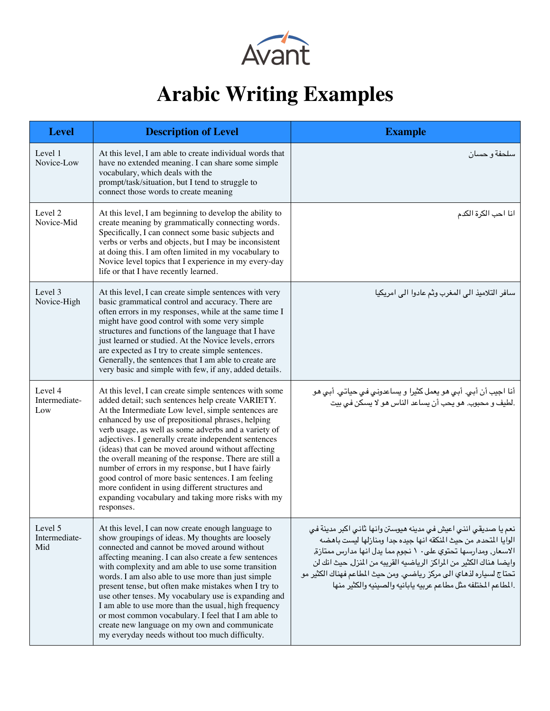

## **Arabic Writing Examples**

| <b>Level</b>                    | <b>Description of Level</b>                                                                                                                                                                                                                                                                                                                                                                                                                                                                                                                                                                                                                                                                 | <b>Example</b>                                                                                                                                                                                                                                                                                                                                                                                                         |
|---------------------------------|---------------------------------------------------------------------------------------------------------------------------------------------------------------------------------------------------------------------------------------------------------------------------------------------------------------------------------------------------------------------------------------------------------------------------------------------------------------------------------------------------------------------------------------------------------------------------------------------------------------------------------------------------------------------------------------------|------------------------------------------------------------------------------------------------------------------------------------------------------------------------------------------------------------------------------------------------------------------------------------------------------------------------------------------------------------------------------------------------------------------------|
| Level 1<br>Novice-Low           | At this level, I am able to create individual words that<br>have no extended meaning. I can share some simple<br>vocabulary, which deals with the<br>prompt/task/situation, but I tend to struggle to<br>connect those words to create meaning                                                                                                                                                                                                                                                                                                                                                                                                                                              | سلحفة و حسان                                                                                                                                                                                                                                                                                                                                                                                                           |
| Level 2<br>Novice-Mid           | At this level, I am beginning to develop the ability to<br>create meaning by grammatically connecting words.<br>Specifically, I can connect some basic subjects and<br>verbs or verbs and objects, but I may be inconsistent<br>at doing this. I am often limited in my vocabulary to<br>Novice level topics that I experience in my every-day<br>life or that I have recently learned.                                                                                                                                                                                                                                                                                                     | انا احب الكرة الكدم                                                                                                                                                                                                                                                                                                                                                                                                    |
| Level 3<br>Novice-High          | At this level, I can create simple sentences with very<br>basic grammatical control and accuracy. There are<br>often errors in my responses, while at the same time I<br>might have good control with some very simple<br>structures and functions of the language that I have<br>just learned or studied. At the Novice levels, errors<br>are expected as I try to create simple sentences.<br>Generally, the sentences that I am able to create are<br>very basic and simple with few, if any, added details.                                                                                                                                                                             | سافر التلاميذ الى المغرب وثم عادوا الى امريكيا                                                                                                                                                                                                                                                                                                                                                                         |
| Level 4<br>Intermediate-<br>Low | At this level, I can create simple sentences with some<br>added detail; such sentences help create VARIETY.<br>At the Intermediate Low level, simple sentences are<br>enhanced by use of prepositional phrases, helping<br>verb usage, as well as some adverbs and a variety of<br>adjectives. I generally create independent sentences<br>(ideas) that can be moved around without affecting<br>the overall meaning of the response. There are still a<br>number of errors in my response, but I have fairly<br>good control of more basic sentences. I am feeling<br>more confident in using different structures and<br>expanding vocabulary and taking more risks with my<br>responses. | أنا اجيب أن أبي. أبي هو يعمل كثيرا و يساعدوني في حياتي. أبي هو<br>.لطيف و محبوب. هو يحب أن يساعد الناس هو لا يسكن في بيت                                                                                                                                                                                                                                                                                               |
| Level 5<br>Intermediate-<br>Mid | At this level, I can now create enough language to<br>show groupings of ideas. My thoughts are loosely<br>connected and cannot be moved around without<br>affecting meaning. I can also create a few sentences<br>with complexity and am able to use some transition<br>words. I am also able to use more than just simple<br>present tense, but often make mistakes when I try to<br>use other tenses. My vocabulary use is expanding and<br>I am able to use more than the usual, high frequency<br>or most common vocabulary. I feel that I am able to<br>create new language on my own and communicate<br>my everyday needs without too much difficulty.                                | نعم يا صديقي انني اعيش في مدينه هيوستن وانها ثاني اكبر مدينة في<br>الوايا المتحده٬ من حيث المنكقه انها جيده جدا ومنازلها ليست باهضه<br>الاسعار, ومدارسها تحتوي على ١٠ نجوم مما يدل انها مدارس ممتازة,<br>وايضا هناك الكثير من المراكز الرياضيه القريبه من المنزل ٍ حيث انك لن<br>تحتاج لسياره لذهاي الى مركز رياضـى. ومن حيث المطاعم فهناك الكثير مو<br>المطاعم المختلفه مثل مطاعم عربيه يابانيه والصينيه والكثير منها |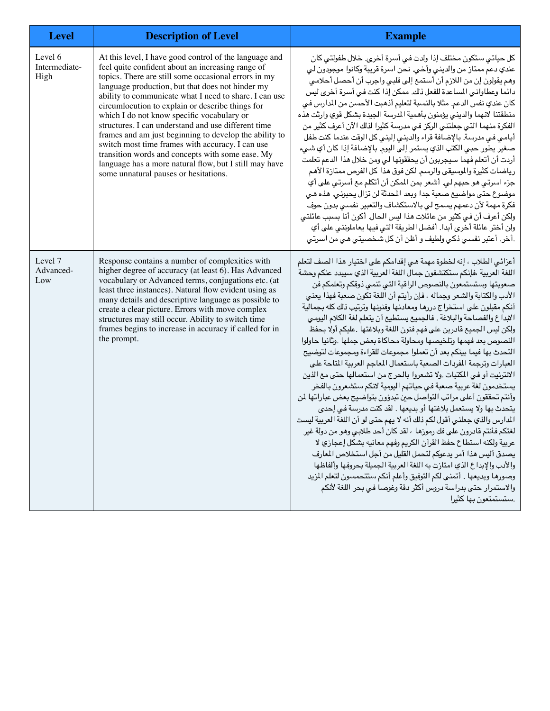| <b>Level</b>                     | <b>Description of Level</b>                                                                                                                                                                                                                                                                                                                                                                                                                                                                                                                                                                                                                                                                                     | <b>Example</b>                                                                                                                                                                                                                                                                                                                                                                                                                                                                                                                                                                                                                                                                                                                                                                                                                                                                                                                                                                                                                                                                                                                                                                                                                                                                                                                                                                                                                                                                                                                                         |
|----------------------------------|-----------------------------------------------------------------------------------------------------------------------------------------------------------------------------------------------------------------------------------------------------------------------------------------------------------------------------------------------------------------------------------------------------------------------------------------------------------------------------------------------------------------------------------------------------------------------------------------------------------------------------------------------------------------------------------------------------------------|--------------------------------------------------------------------------------------------------------------------------------------------------------------------------------------------------------------------------------------------------------------------------------------------------------------------------------------------------------------------------------------------------------------------------------------------------------------------------------------------------------------------------------------------------------------------------------------------------------------------------------------------------------------------------------------------------------------------------------------------------------------------------------------------------------------------------------------------------------------------------------------------------------------------------------------------------------------------------------------------------------------------------------------------------------------------------------------------------------------------------------------------------------------------------------------------------------------------------------------------------------------------------------------------------------------------------------------------------------------------------------------------------------------------------------------------------------------------------------------------------------------------------------------------------------|
| Level 6<br>Intermediate-<br>High | At this level, I have good control of the language and<br>feel quite confident about an increasing range of<br>topics. There are still some occasional errors in my<br>language production, but that does not hinder my<br>ability to communicate what I need to share. I can use<br>circumlocution to explain or describe things for<br>which I do not know specific vocabulary or<br>structures. I can understand and use different time<br>frames and am just beginning to develop the ability to<br>switch most time frames with accuracy. I can use<br>transition words and concepts with some ease. My<br>language has a more natural flow, but I still may have<br>some unnatural pauses or hesitations. | كل حياتي ستكون مختلف إذا ولدت في أسرة أخرى. خلال طفولتي كان<br>عندي دعم ممتاز من والديني وأخي. نحن اسرة قريبة وكانوا موجودون لي<br>وهم يقولون إن من اللازم أن أستمع إلى قلبي واجرب أن أحصل أحلامي<br>دائما وعطاواني المساعدة للفعل ذلك. ممكن إذا كنت في أسرة أخرى ليس<br>كان عندي نفس الدعم. مثلا بالنسبة لتعليم أذهبت الأحسن من المدارس في<br>منطقتنا لانهما والديني يؤمنون بأهمية المرسة الجيدة بشكل قوي وارثت هذه<br>الفكرة منهما التي جعلتني الركز في مدرسة كثيرا لذلك الآن أعرف كثير من<br>أيامي في مدرسة. بالإضافة قراء والديني إليني كل الوقت عندما كنت طفل<br>صغير يطور حبي الكتب الذي يستمر إلى اليوم. بالإضافة إذا كان أي شيء<br>أردت أن أتعلم فهما سيجربون أن يحققونها لي ومن خلال هذا الدعم تعلمت<br>رياضات كثيرة والموسيقى والرسم. لكن فوق هذا كل الفرص ممتازة الأهم<br>جزء اسرتي هو حبهم لي. أشعر بمن المكن أن أتكلم مع أسرتي على أي<br>موضوع حتى مواضيع صعبة جدا وبعد المحدثة لن تزال يحبوني. هذه هي<br>فكرة مهمة لأن دعمهم يسمح لي بالاستكشاف والتعبير نفسي بدون حوف<br>ولكن أعرف أن في كثير من عائلات هذا ليس الحال. أكون أنا بسبب عائلتي<br>ولن أختر عائلة أخرى أبدا. أفضل الطريقة التي فيها يعاملونني على أي<br>.أخر. أعتبر نفسي ذكي ولطيف و أظن أن كل شخصيتي هي من اسرتي                                                                                                                                                                                                                                                                                                                                                           |
| Level 7<br>Advanced-<br>Low      | Response contains a number of complexities with<br>higher degree of accuracy (at least 6). Has Advanced<br>vocabulary or Advanced terms, conjugations etc. (at<br>least three instances). Natural flow evident using as<br>many details and descriptive language as possible to<br>create a clear picture. Errors with move complex<br>structures may still occur. Ability to switch time<br>frames begins to increase in accuracy if called for in<br>the prompt.                                                                                                                                                                                                                                              | أعزائي الطلاب ، إنه لخطوة مهمة هي إقدامكم على اختيار هذا الصف لتعلم<br>اللغة العربية ،فإنكم ستكتشفون جمال اللغة العربية الذي سيبدد عنكم وحشة<br>صعوبتها وستستمعون بالنصوص الراقية التى تنمى ذوقكم وتعلمكم فن<br>الأدب والكتابة والشعر وجماله ، فإن رأيتم أن اللغة تكون صعبة فهذا يعني<br>أنكم مقبلون على استخراج دررها ومعادنها وفنونها وترتيب ذلك كله بجمالية<br>الابداع والفصاحة والبلاغة . فالجميع يستطيع أن يتعلم لغة الكلام اليومي<br>ولكن ليس الجميع قادرين على فهم فنون اللغة وبلاغتها .عليكم أولا بحفظ<br>النصوص بعد فهمها وتلخيصها ومحاولة محاكاة بعض جملها .وثانيا حاولوا<br>التحدث بها فيما بينكم بعد أن تعملوا مجموعات للقراءة ومجموعات لتوضيح<br>العبارات وترجمة المفردات الصعبة باستعمال المعاجم العربية المتاحة على<br>الانترنيت أو في المكتبات .ولا تشعروا بالحرج من استعمالها حتى مع الذين<br>يستخدمون لغة عربية صعبة فيى حياتهم اليومية لانكم ستشعرون بالفخر<br>وأنتم تحققون أعلى مراتب التواصل حين تبدؤون بتواضيح بعض عباراتها لمن<br>يتحدث بها ولا يستعمل بلاغتها أو بديعها . لقد كنت مدرسة في إحدى<br>المدارس والذي جعلني أقول لكم ذلك أنه لا يهم حتى لو أن اللغة العربية ليست<br>لغتكم فأنتم قادرون على فك رموزها ، لقد كان أحد طلابي وهو من دولة غير<br>عربية ولكنه استطاع حفظ القرآن الكريم وفهم معانيه بشكل إعجازي لا<br>يصدق أليس هذا أمر يدعوكم لتحمل القليل من أجل استخلاص المعارف<br>والأدب والإبداع الذي امتازت به اللغة العربية الجميلة بحروفها وألفاظها<br>وصورها وبديعها . أتمنى لكم التوفيق وأعلم أنكم ستتحمسون لتعلم المزيد<br>والاستمرار حتى بدراسة دروس أكثر دقة وغوصا في بحر اللغة لأنكم<br>.ستستمتعون بها كثيرا |